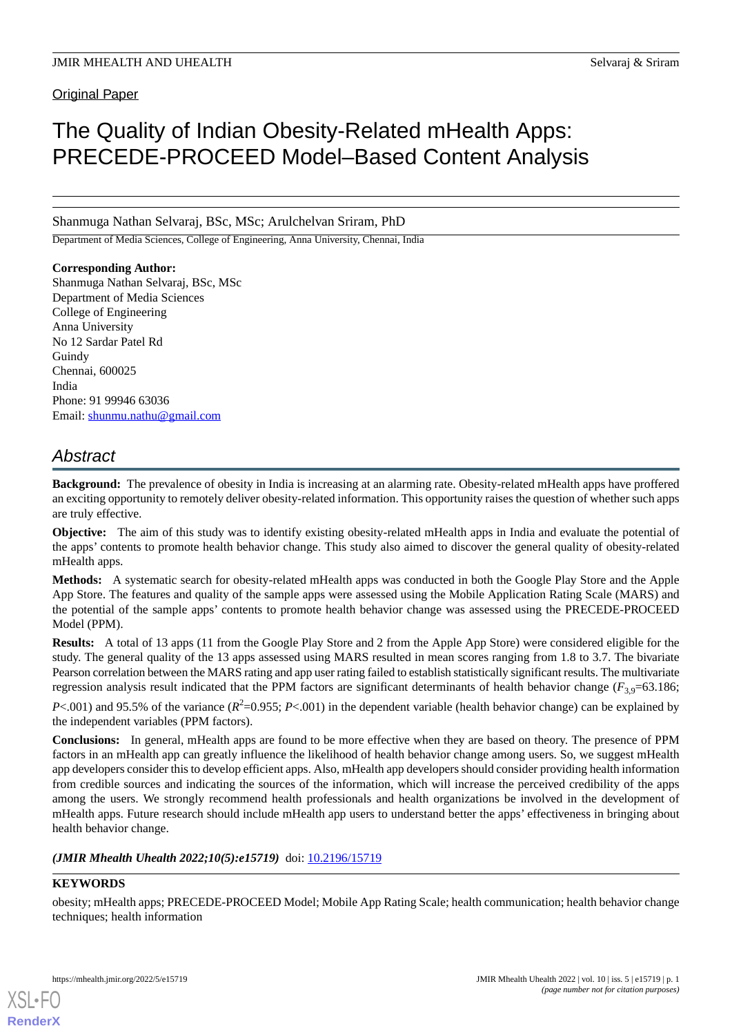Original Paper

# The Quality of Indian Obesity-Related mHealth Apps: PRECEDE-PROCEED Model–Based Content Analysis

Shanmuga Nathan Selvaraj, BSc, MSc; Arulchelvan Sriram, PhD

Department of Media Sciences, College of Engineering, Anna University, Chennai, India

# **Corresponding Author:**

Shanmuga Nathan Selvaraj, BSc, MSc Department of Media Sciences College of Engineering Anna University No 12 Sardar Patel Rd Guindy Chennai, 600025 India Phone: 91 99946 63036 Email: [shunmu.nathu@gmail.com](mailto:shunmu.nathu@gmail.com)

# *Abstract*

**Background:** The prevalence of obesity in India is increasing at an alarming rate. Obesity-related mHealth apps have proffered an exciting opportunity to remotely deliver obesity-related information. This opportunity raises the question of whether such apps are truly effective.

**Objective:** The aim of this study was to identify existing obesity-related mHealth apps in India and evaluate the potential of the apps' contents to promote health behavior change. This study also aimed to discover the general quality of obesity-related mHealth apps.

**Methods:** A systematic search for obesity-related mHealth apps was conducted in both the Google Play Store and the Apple App Store. The features and quality of the sample apps were assessed using the Mobile Application Rating Scale (MARS) and the potential of the sample apps' contents to promote health behavior change was assessed using the PRECEDE-PROCEED Model (PPM).

**Results:** A total of 13 apps (11 from the Google Play Store and 2 from the Apple App Store) were considered eligible for the study. The general quality of the 13 apps assessed using MARS resulted in mean scores ranging from 1.8 to 3.7. The bivariate Pearson correlation between the MARS rating and app user rating failed to establish statistically significant results. The multivariate regression analysis result indicated that the PPM factors are significant determinants of health behavior change  $(F_{3,9}=63.186;$ 

*P*<.001) and 95.5% of the variance  $(R^2=0.955; P<.001)$  in the dependent variable (health behavior change) can be explained by the independent variables (PPM factors).

**Conclusions:** In general, mHealth apps are found to be more effective when they are based on theory. The presence of PPM factors in an mHealth app can greatly influence the likelihood of health behavior change among users. So, we suggest mHealth app developers consider this to develop efficient apps. Also, mHealth app developers should consider providing health information from credible sources and indicating the sources of the information, which will increase the perceived credibility of the apps among the users. We strongly recommend health professionals and health organizations be involved in the development of mHealth apps. Future research should include mHealth app users to understand better the apps' effectiveness in bringing about health behavior change.

*(JMIR Mhealth Uhealth 2022;10(5):e15719)* doi: [10.2196/15719](http://dx.doi.org/10.2196/15719)

# **KEYWORDS**

[XSL](http://www.w3.org/Style/XSL)•FO **[RenderX](http://www.renderx.com/)**

obesity; mHealth apps; PRECEDE-PROCEED Model; Mobile App Rating Scale; health communication; health behavior change techniques; health information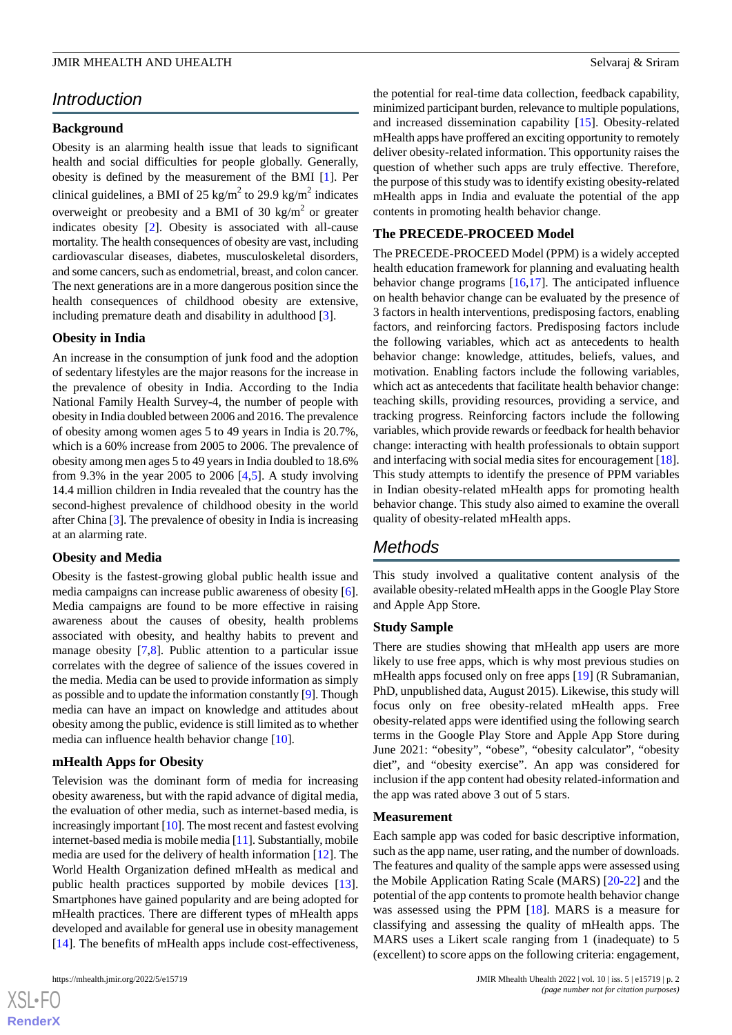# *Introduction*

# **Background**

Obesity is an alarming health issue that leads to significant health and social difficulties for people globally. Generally, obesity is defined by the measurement of the BMI [\[1](#page-9-0)]. Per clinical guidelines, a BMI of 25 kg/m<sup>2</sup> to 29.9 kg/m<sup>2</sup> indicates overweight or preobesity and a BMI of 30 kg/m<sup>2</sup> or greater indicates obesity [\[2](#page-9-1)]. Obesity is associated with all-cause mortality. The health consequences of obesity are vast, including cardiovascular diseases, diabetes, musculoskeletal disorders, and some cancers, such as endometrial, breast, and colon cancer. The next generations are in a more dangerous position since the health consequences of childhood obesity are extensive, including premature death and disability in adulthood [[3\]](#page-9-2).

## **Obesity in India**

An increase in the consumption of junk food and the adoption of sedentary lifestyles are the major reasons for the increase in the prevalence of obesity in India. According to the India National Family Health Survey-4, the number of people with obesity in India doubled between 2006 and 2016. The prevalence of obesity among women ages 5 to 49 years in India is 20.7%, which is a 60% increase from 2005 to 2006. The prevalence of obesity among men ages 5 to 49 years in India doubled to 18.6% from 9.3% in the year 2005 to 2006  $[4,5]$  $[4,5]$  $[4,5]$ . A study involving 14.4 million children in India revealed that the country has the second-highest prevalence of childhood obesity in the world after China [\[3](#page-9-2)]. The prevalence of obesity in India is increasing at an alarming rate.

## **Obesity and Media**

Obesity is the fastest-growing global public health issue and media campaigns can increase public awareness of obesity [[6\]](#page-10-0). Media campaigns are found to be more effective in raising awareness about the causes of obesity, health problems associated with obesity, and healthy habits to prevent and manage obesity [[7](#page-10-1)[,8](#page-10-2)]. Public attention to a particular issue correlates with the degree of salience of the issues covered in the media. Media can be used to provide information as simply as possible and to update the information constantly [\[9](#page-10-3)]. Though media can have an impact on knowledge and attitudes about obesity among the public, evidence is still limited as to whether media can influence health behavior change [[10\]](#page-10-4).

# **mHealth Apps for Obesity**

Television was the dominant form of media for increasing obesity awareness, but with the rapid advance of digital media, the evaluation of other media, such as internet-based media, is increasingly important [[10](#page-10-4)]. The most recent and fastest evolving internet-based media is mobile media [\[11](#page-10-5)]. Substantially, mobile media are used for the delivery of health information [[12\]](#page-10-6). The World Health Organization defined mHealth as medical and public health practices supported by mobile devices [[13\]](#page-10-7). Smartphones have gained popularity and are being adopted for mHealth practices. There are different types of mHealth apps developed and available for general use in obesity management [[14\]](#page-10-8). The benefits of mHealth apps include cost-effectiveness,

 $XS$  $\cdot$ FC **[RenderX](http://www.renderx.com/)** the potential for real-time data collection, feedback capability, minimized participant burden, relevance to multiple populations, and increased dissemination capability [\[15](#page-10-9)]. Obesity-related mHealth apps have proffered an exciting opportunity to remotely deliver obesity-related information. This opportunity raises the question of whether such apps are truly effective. Therefore, the purpose of this study was to identify existing obesity-related mHealth apps in India and evaluate the potential of the app contents in promoting health behavior change.

# **The PRECEDE-PROCEED Model**

The PRECEDE-PROCEED Model (PPM) is a widely accepted health education framework for planning and evaluating health behavior change programs [[16](#page-10-10)[,17](#page-10-11)]. The anticipated influence on health behavior change can be evaluated by the presence of 3 factors in health interventions, predisposing factors, enabling factors, and reinforcing factors. Predisposing factors include the following variables, which act as antecedents to health behavior change: knowledge, attitudes, beliefs, values, and motivation. Enabling factors include the following variables, which act as antecedents that facilitate health behavior change: teaching skills, providing resources, providing a service, and tracking progress. Reinforcing factors include the following variables, which provide rewards or feedback for health behavior change: interacting with health professionals to obtain support and interfacing with social media sites for encouragement [[18\]](#page-10-12). This study attempts to identify the presence of PPM variables in Indian obesity-related mHealth apps for promoting health behavior change. This study also aimed to examine the overall quality of obesity-related mHealth apps.

# *Methods*

This study involved a qualitative content analysis of the available obesity-related mHealth apps in the Google Play Store and Apple App Store.

## **Study Sample**

There are studies showing that mHealth app users are more likely to use free apps, which is why most previous studies on mHealth apps focused only on free apps [\[19](#page-10-13)] (R Subramanian, PhD, unpublished data, August 2015). Likewise, this study will focus only on free obesity-related mHealth apps. Free obesity-related apps were identified using the following search terms in the Google Play Store and Apple App Store during June 2021: "obesity", "obese", "obesity calculator", "obesity diet", and "obesity exercise". An app was considered for inclusion if the app content had obesity related-information and the app was rated above 3 out of 5 stars.

## **Measurement**

Each sample app was coded for basic descriptive information, such as the app name, user rating, and the number of downloads. The features and quality of the sample apps were assessed using the Mobile Application Rating Scale (MARS) [\[20](#page-10-14)-[22\]](#page-10-15) and the potential of the app contents to promote health behavior change was assessed using the PPM [\[18](#page-10-12)]. MARS is a measure for classifying and assessing the quality of mHealth apps. The MARS uses a Likert scale ranging from 1 (inadequate) to 5 (excellent) to score apps on the following criteria: engagement,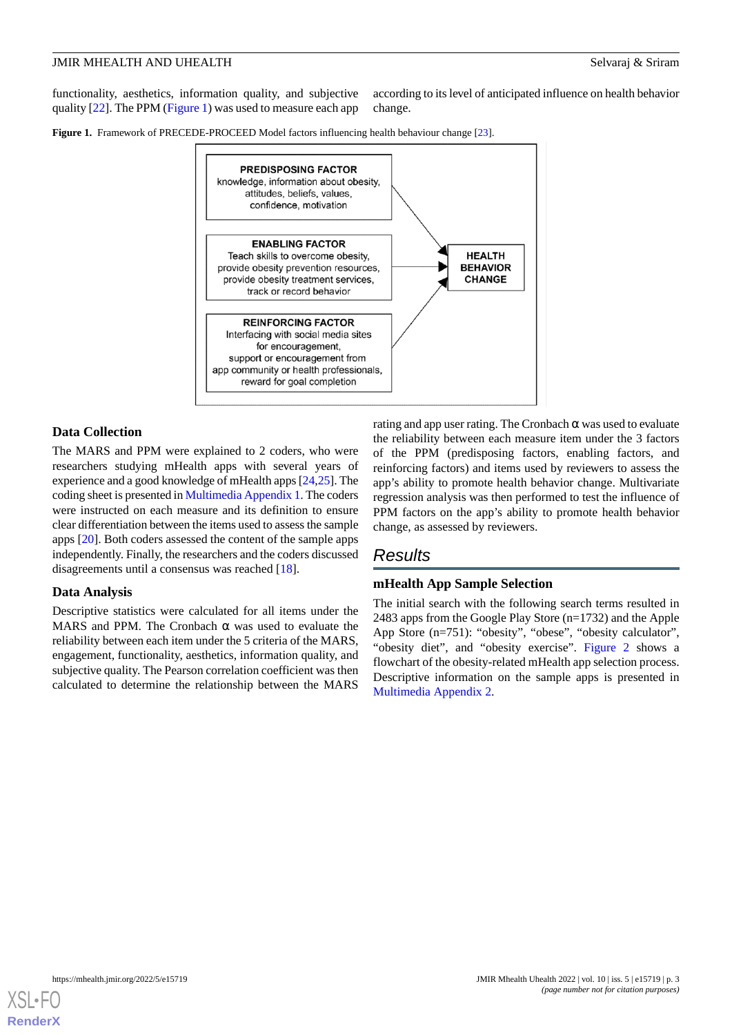functionality, aesthetics, information quality, and subjective quality [[22\]](#page-10-15). The PPM [\(Figure 1](#page-2-0)) was used to measure each app

according to its level of anticipated influence on health behavior change.

<span id="page-2-0"></span>**Figure 1.** Framework of PRECEDE-PROCEED Model factors influencing health behaviour change [[23](#page-10-16)].



# **Data Collection**

The MARS and PPM were explained to 2 coders, who were researchers studying mHealth apps with several years of experience and a good knowledge of mHealth apps [\[24](#page-10-17),[25](#page-10-18)]. The coding sheet is presented in [Multimedia Appendix 1](#page-9-5). The coders were instructed on each measure and its definition to ensure clear differentiation between the items used to assess the sample apps [\[20](#page-10-14)]. Both coders assessed the content of the sample apps independently. Finally, the researchers and the coders discussed disagreements until a consensus was reached [[18\]](#page-10-12).

## **Data Analysis**

Descriptive statistics were calculated for all items under the MARS and PPM. The Cronbach  $\alpha$  was used to evaluate the reliability between each item under the 5 criteria of the MARS, engagement, functionality, aesthetics, information quality, and subjective quality. The Pearson correlation coefficient was then calculated to determine the relationship between the MARS

rating and app user rating. The Cronbach  $\alpha$  was used to evaluate the reliability between each measure item under the 3 factors of the PPM (predisposing factors, enabling factors, and reinforcing factors) and items used by reviewers to assess the app's ability to promote health behavior change. Multivariate regression analysis was then performed to test the influence of PPM factors on the app's ability to promote health behavior change, as assessed by reviewers.

# *Results*

# **mHealth App Sample Selection**

The initial search with the following search terms resulted in 2483 apps from the Google Play Store (n=1732) and the Apple App Store (n=751): "obesity", "obese", "obesity calculator", "obesity diet", and "obesity exercise". [Figure 2](#page-3-0) shows a flowchart of the obesity-related mHealth app selection process. Descriptive information on the sample apps is presented in [Multimedia Appendix 2.](#page-9-6)

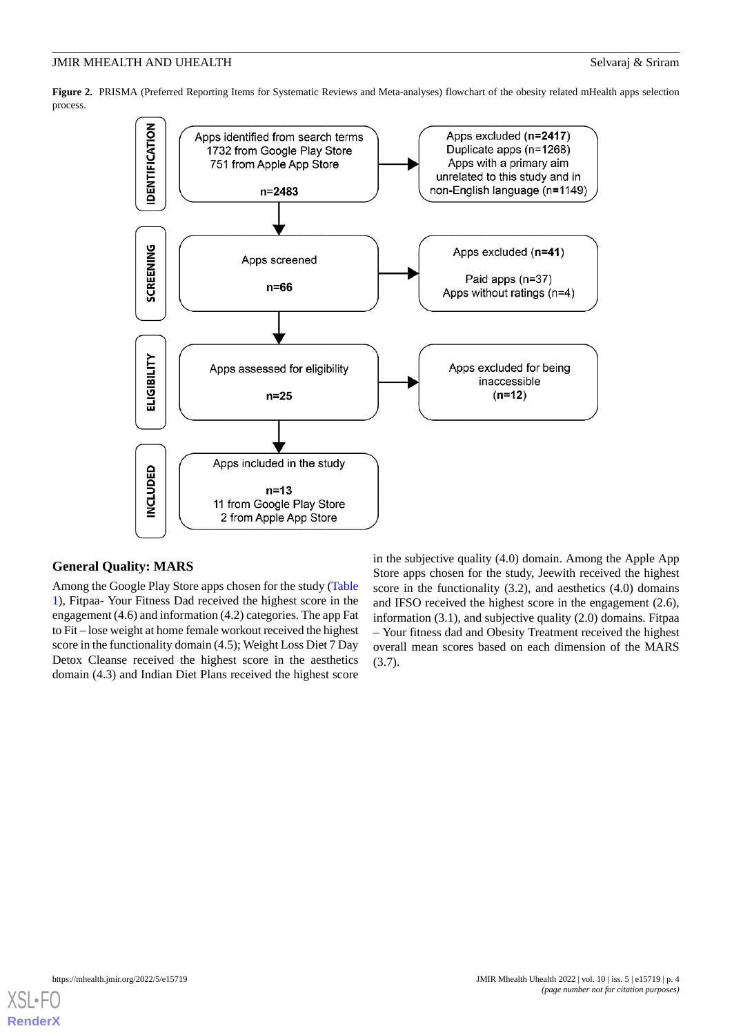<span id="page-3-0"></span>**Figure 2.** PRISMA (Preferred Reporting Items for Systematic Reviews and Meta-analyses) flowchart of the obesity related mHealth apps selection process.



## **General Quality: MARS**

Among the Google Play Store apps chosen for the study ([Table](#page-4-0) [1\)](#page-4-0), Fitpaa- Your Fitness Dad received the highest score in the engagement (4.6) and information (4.2) categories. The app Fat to Fit – lose weight at home female workout received the highest score in the functionality domain (4.5); Weight Loss Diet 7 Day Detox Cleanse received the highest score in the aesthetics domain (4.3) and Indian Diet Plans received the highest score

in the subjective quality (4.0) domain. Among the Apple App Store apps chosen for the study, Jeewith received the highest score in the functionality (3.2), and aesthetics (4.0) domains and IFSO received the highest score in the engagement (2.6), information (3.1), and subjective quality (2.0) domains. Fitpaa – Your fitness dad and Obesity Treatment received the highest overall mean scores based on each dimension of the MARS (3.7).

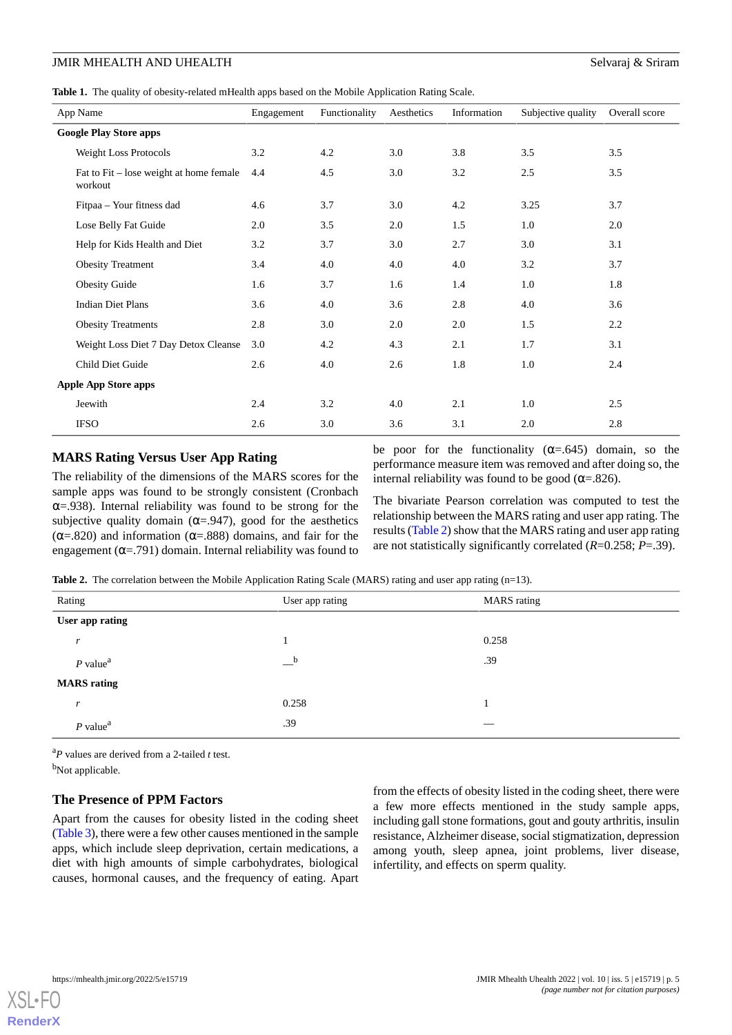<span id="page-4-0"></span>**Table 1.** The quality of obesity-related mHealth apps based on the Mobile Application Rating Scale.

| App Name                                           | Engagement | Functionality | Aesthetics | Information | Subjective quality | Overall score |
|----------------------------------------------------|------------|---------------|------------|-------------|--------------------|---------------|
| <b>Google Play Store apps</b>                      |            |               |            |             |                    |               |
| Weight Loss Protocols                              | 3.2        | 4.2           | 3.0        | 3.8         | 3.5                | 3.5           |
| Fat to Fit – lose weight at home female<br>workout | 4.4        | 4.5           | 3.0        | 3.2         | 2.5                | 3.5           |
| Fitpaa - Your fitness dad                          | 4.6        | 3.7           | 3.0        | 4.2         | 3.25               | 3.7           |
| Lose Belly Fat Guide                               | 2.0        | 3.5           | 2.0        | 1.5         | 1.0                | 2.0           |
| Help for Kids Health and Diet                      | 3.2        | 3.7           | 3.0        | 2.7         | 3.0                | 3.1           |
| <b>Obesity Treatment</b>                           | 3.4        | 4.0           | 4.0        | 4.0         | 3.2                | 3.7           |
| <b>Obesity Guide</b>                               | 1.6        | 3.7           | 1.6        | 1.4         | 1.0                | 1.8           |
| <b>Indian Diet Plans</b>                           | 3.6        | 4.0           | 3.6        | 2.8         | 4.0                | 3.6           |
| <b>Obesity Treatments</b>                          | 2.8        | 3.0           | 2.0        | 2.0         | 1.5                | 2.2           |
| Weight Loss Diet 7 Day Detox Cleanse               | 3.0        | 4.2           | 4.3        | 2.1         | 1.7                | 3.1           |
| Child Diet Guide                                   | 2.6        | 4.0           | 2.6        | 1.8         | 1.0                | 2.4           |
| <b>Apple App Store apps</b>                        |            |               |            |             |                    |               |
| Jeewith                                            | 2.4        | 3.2           | 4.0        | 2.1         | 1.0                | 2.5           |
| <b>IFSO</b>                                        | 2.6        | 3.0           | 3.6        | 3.1         | 2.0                | 2.8           |

# **MARS Rating Versus User App Rating**

<span id="page-4-1"></span>The reliability of the dimensions of the MARS scores for the sample apps was found to be strongly consistent (Cronbach  $\alpha$ =.938). Internal reliability was found to be strong for the subjective quality domain ( $\alpha$ =.947), good for the aesthetics ( $\alpha$ =.820) and information ( $\alpha$ =.888) domains, and fair for the engagement ( $\alpha$ =.791) domain. Internal reliability was found to

be poor for the functionality  $(\alpha = .645)$  domain, so the performance measure item was removed and after doing so, the internal reliability was found to be good ( $\alpha$ =.826).

The bivariate Pearson correlation was computed to test the relationship between the MARS rating and user app rating. The results ([Table 2\)](#page-4-1) show that the MARS rating and user app rating are not statistically significantly correlated (*R*=0.258; *P*=.39).

**Table 2.** The correlation between the Mobile Application Rating Scale (MARS) rating and user app rating (n=13).

| Rating                 | User app rating | <b>MARS</b> rating |
|------------------------|-----------------|--------------------|
| User app rating        |                 |                    |
| r                      |                 | 0.258              |
| $P$ value <sup>a</sup> | $-{}^{\rm b}$   | .39                |
| <b>MARS</b> rating     |                 |                    |
| r                      | 0.258           |                    |
| $P$ value <sup>a</sup> | .39             | _                  |

<sup>a</sup>*P* values are derived from a 2-tailed *t* test. <sup>b</sup>Not applicable.

## **The Presence of PPM Factors**

Apart from the causes for obesity listed in the coding sheet ([Table 3](#page-5-0)), there were a few other causes mentioned in the sample apps, which include sleep deprivation, certain medications, a diet with high amounts of simple carbohydrates, biological causes, hormonal causes, and the frequency of eating. Apart

from the effects of obesity listed in the coding sheet, there were a few more effects mentioned in the study sample apps, including gall stone formations, gout and gouty arthritis, insulin resistance, Alzheimer disease, social stigmatization, depression among youth, sleep apnea, joint problems, liver disease, infertility, and effects on sperm quality.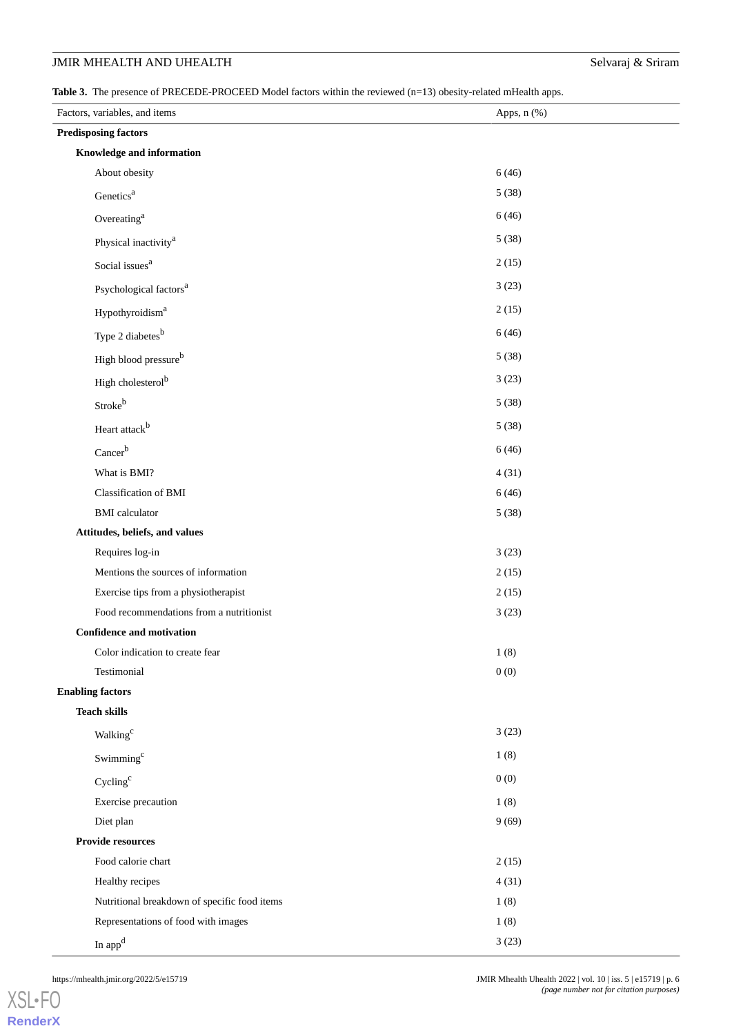# JMIR MHEALTH AND UHEALTH Selvaraj & Sriram

<span id="page-5-0"></span>Table 3. The presence of PRECEDE-PROCEED Model factors within the reviewed (n=13) obesity-related mHealth apps.

| Factors, variables, and items                | Apps, n (%) |  |  |  |  |
|----------------------------------------------|-------------|--|--|--|--|
| <b>Predisposing factors</b>                  |             |  |  |  |  |
| Knowledge and information                    |             |  |  |  |  |
| About obesity                                | 6(46)       |  |  |  |  |
| Genetics <sup>a</sup>                        | 5(38)       |  |  |  |  |
| Overeating <sup>a</sup>                      | 6(46)       |  |  |  |  |
| Physical inactivity <sup>a</sup>             | 5(38)       |  |  |  |  |
| Social issues <sup>a</sup>                   | 2(15)       |  |  |  |  |
| Psychological factors <sup>a</sup>           | 3(23)       |  |  |  |  |
| Hypothyroidism <sup>a</sup>                  | 2(15)       |  |  |  |  |
| Type 2 diabetes <sup>b</sup>                 | 6(46)       |  |  |  |  |
| High blood pressureb                         | 5(38)       |  |  |  |  |
| High cholesterol <sup>b</sup>                | 3(23)       |  |  |  |  |
| Strokeb                                      | 5(38)       |  |  |  |  |
| Heart attack <sup>b</sup>                    | 5(38)       |  |  |  |  |
| Cancerb                                      | 6(46)       |  |  |  |  |
| What is BMI?                                 | 4(31)       |  |  |  |  |
| Classification of BMI                        | 6(46)       |  |  |  |  |
| <b>BMI</b> calculator                        | 5(38)       |  |  |  |  |
| Attitudes, beliefs, and values               |             |  |  |  |  |
| Requires log-in                              | 3(23)       |  |  |  |  |
| Mentions the sources of information          | 2(15)       |  |  |  |  |
| Exercise tips from a physiotherapist         | 2(15)       |  |  |  |  |
| Food recommendations from a nutritionist     | 3(23)       |  |  |  |  |
| <b>Confidence and motivation</b>             |             |  |  |  |  |
| Color indication to create fear              | $1\ (8)$    |  |  |  |  |
| Testimonial                                  | 0(0)        |  |  |  |  |
| <b>Enabling factors</b>                      |             |  |  |  |  |
| <b>Teach skills</b>                          |             |  |  |  |  |
| Walking <sup>c</sup>                         | 3(23)       |  |  |  |  |
| Swimming <sup>c</sup>                        | 1(8)        |  |  |  |  |
| Cycling <sup>c</sup>                         | 0(0)        |  |  |  |  |
| Exercise precaution                          | 1(8)        |  |  |  |  |
| Diet plan                                    | 9(69)       |  |  |  |  |
| <b>Provide resources</b>                     |             |  |  |  |  |
| Food calorie chart                           | 2(15)       |  |  |  |  |
| Healthy recipes                              | 4(31)       |  |  |  |  |
| Nutritional breakdown of specific food items | 1(8)        |  |  |  |  |
| Representations of food with images          | 1(8)        |  |  |  |  |
| In $appd$                                    | 3(23)       |  |  |  |  |

[XSL](http://www.w3.org/Style/XSL)•FO **[RenderX](http://www.renderx.com/)**

https://mhealth.jmir.org/2022/5/e15719 JMIR Mhealth Uhealth 2022 | vol. 10 | iss. 5 | e15719 | p. 6 *(page number not for citation purposes)*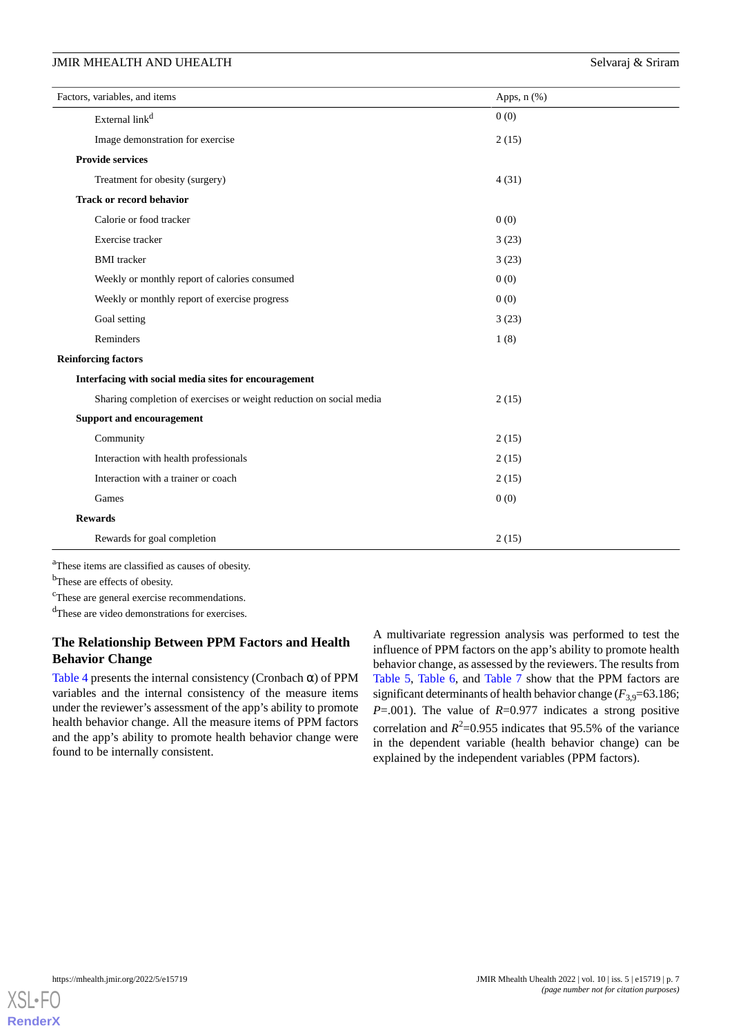# JMIR MHEALTH AND UHEALTH Selvaraj & Sriram

| Factors, variables, and items                                       | Apps, $n$ $(\%)$ |
|---------------------------------------------------------------------|------------------|
| External link <sup>d</sup>                                          | 0(0)             |
| Image demonstration for exercise                                    | 2(15)            |
| <b>Provide services</b>                                             |                  |
| Treatment for obesity (surgery)                                     | 4(31)            |
| <b>Track or record behavior</b>                                     |                  |
| Calorie or food tracker                                             | 0(0)             |
| Exercise tracker                                                    | 3(23)            |
| <b>BMI</b> tracker                                                  | 3(23)            |
| Weekly or monthly report of calories consumed                       | 0(0)             |
| Weekly or monthly report of exercise progress                       | 0(0)             |
| Goal setting                                                        | 3(23)            |
| Reminders                                                           | 1(8)             |
| <b>Reinforcing factors</b>                                          |                  |
| Interfacing with social media sites for encouragement               |                  |
| Sharing completion of exercises or weight reduction on social media | 2(15)            |
| <b>Support and encouragement</b>                                    |                  |
| Community                                                           | 2(15)            |
| Interaction with health professionals                               | 2(15)            |
| Interaction with a trainer or coach                                 | 2(15)            |
| Games                                                               | 0(0)             |
| <b>Rewards</b>                                                      |                  |
| Rewards for goal completion                                         | 2(15)            |

<sup>a</sup>These items are classified as causes of obesity.

<sup>b</sup>These are effects of obesity.

<sup>c</sup>These are general exercise recommendations.

<sup>d</sup>These are video demonstrations for exercises.

# **The Relationship Between PPM Factors and Health Behavior Change**

[Table 4](#page-7-0) presents the internal consistency (Cronbach  $\alpha$ ) of PPM variables and the internal consistency of the measure items under the reviewer's assessment of the app's ability to promote health behavior change. All the measure items of PPM factors and the app's ability to promote health behavior change were found to be internally consistent.

A multivariate regression analysis was performed to test the influence of PPM factors on the app's ability to promote health behavior change, as assessed by the reviewers. The results from [Table 5](#page-7-1), [Table 6](#page-7-2), and [Table 7](#page-8-0) show that the PPM factors are significant determinants of health behavior change  $(F_{3,9}=63.186;$ *P*=.001). The value of *R*=0.977 indicates a strong positive correlation and  $R^2$ =0.955 indicates that 95.5% of the variance in the dependent variable (health behavior change) can be explained by the independent variables (PPM factors).

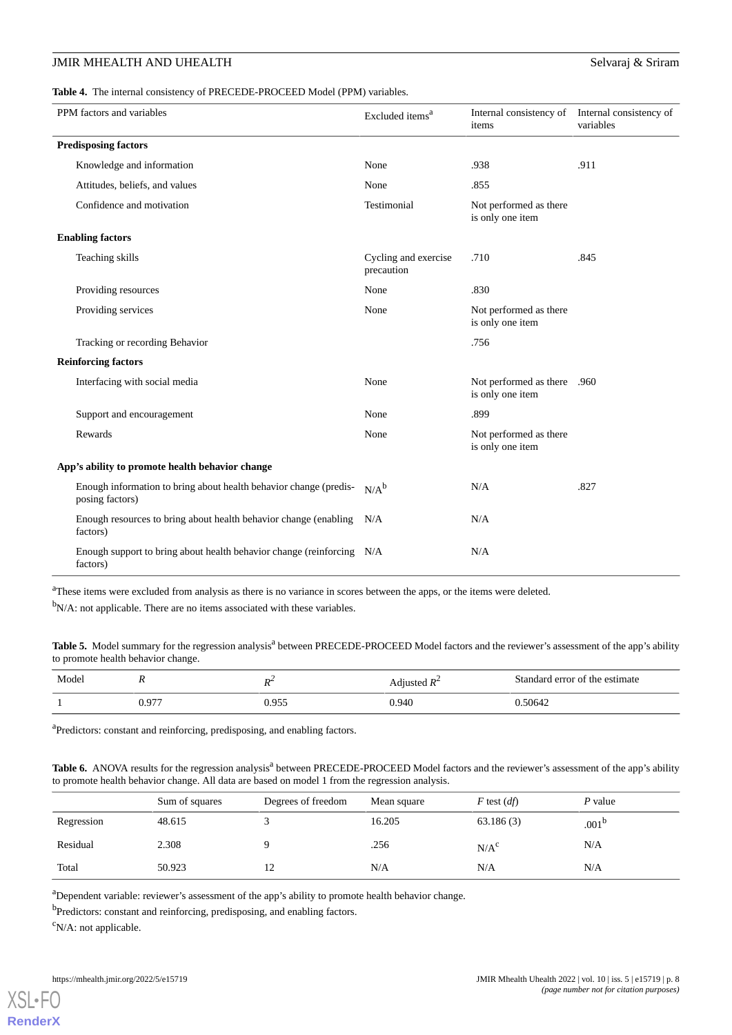# JMIR MHEALTH AND UHEALTH Selvaraj & Sriram

<span id="page-7-0"></span>**Table 4.** The internal consistency of PRECEDE-PROCEED Model (PPM) variables.

| PPM factors and variables                                                            | Excluded items <sup>a</sup>        | Internal consistency of Internal consistency of<br>items | variables |
|--------------------------------------------------------------------------------------|------------------------------------|----------------------------------------------------------|-----------|
| <b>Predisposing factors</b>                                                          |                                    |                                                          |           |
| Knowledge and information                                                            | None                               | .938                                                     | .911      |
| Attitudes, beliefs, and values                                                       | None                               | .855                                                     |           |
| Confidence and motivation                                                            | Testimonial                        | Not performed as there<br>is only one item               |           |
| <b>Enabling factors</b>                                                              |                                    |                                                          |           |
| Teaching skills                                                                      | Cycling and exercise<br>precaution | .710                                                     | .845      |
| Providing resources                                                                  | None                               | .830                                                     |           |
| Providing services                                                                   | None                               | Not performed as there<br>is only one item               |           |
| Tracking or recording Behavior                                                       |                                    | .756                                                     |           |
| <b>Reinforcing factors</b>                                                           |                                    |                                                          |           |
| Interfacing with social media                                                        | None                               | Not performed as there .960<br>is only one item          |           |
| Support and encouragement                                                            | None                               | .899                                                     |           |
| Rewards                                                                              | None                               | Not performed as there<br>is only one item               |           |
| App's ability to promote health behavior change                                      |                                    |                                                          |           |
| Enough information to bring about health behavior change (predis-<br>posing factors) | $N/A^b$                            | N/A                                                      | .827      |
| Enough resources to bring about health behavior change (enabling N/A<br>factors)     |                                    | N/A                                                      |           |
| Enough support to bring about health behavior change (reinforcing N/A<br>factors)    |                                    | N/A                                                      |           |

<span id="page-7-1"></span><sup>a</sup>These items were excluded from analysis as there is no variance in scores between the apps, or the items were deleted.

 $b_{N/A}$ : not applicable. There are no items associated with these variables.

Table 5. Model summary for the regression analysis<sup>a</sup> between PRECEDE-PROCEED Model factors and the reviewer's assessment of the app's ability to promote health behavior change.

<span id="page-7-2"></span>

| Model | . .   | n4    | Adjusted $R^2$ | Standard error of the estimate |
|-------|-------|-------|----------------|--------------------------------|
|       | 0.977 | 0.955 | 0.940          | 0.50642                        |

<sup>a</sup>Predictors: constant and reinforcing, predisposing, and enabling factors.

Table 6. ANOVA results for the regression analysis<sup>a</sup> between PRECEDE-PROCEED Model factors and the reviewer's assessment of the app's ability to promote health behavior change. All data are based on model 1 from the regression analysis.

|            | Sum of squares | Degrees of freedom | Mean square | $F$ test $(df)$  | P value           |
|------------|----------------|--------------------|-------------|------------------|-------------------|
| Regression | 48.615         |                    | 16.205      | 63.186(3)        | .001 <sup>b</sup> |
| Residual   | 2.308          |                    | .256        | N/A <sup>c</sup> | N/A               |
| Total      | 50.923         | 12                 | N/A         | N/A              | N/A               |

<sup>a</sup>Dependent variable: reviewer's assessment of the app's ability to promote health behavior change.

<sup>b</sup>Predictors: constant and reinforcing, predisposing, and enabling factors.

 $\rm^c$ N/A: not applicable.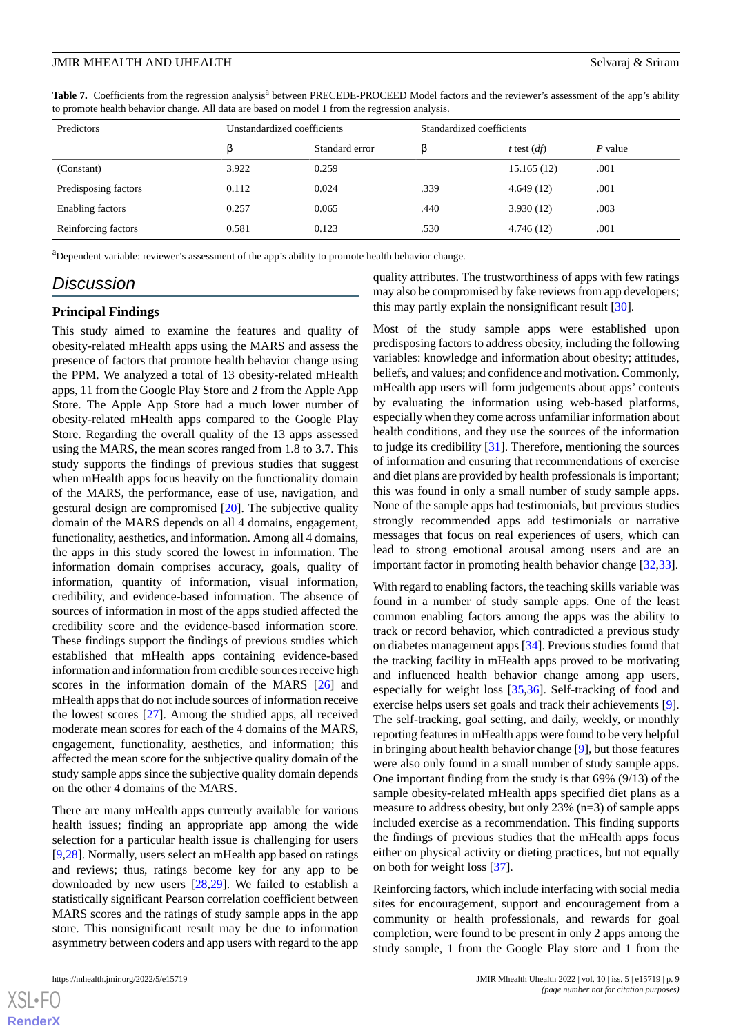<span id="page-8-0"></span>Table 7. Coefficients from the regression analysis<sup>a</sup> between PRECEDE-PROCEED Model factors and the reviewer's assessment of the app's ability to promote health behavior change. All data are based on model 1 from the regression analysis.

| Predictors           | Unstandardized coefficients |                | Standardized coefficients |               |         |
|----------------------|-----------------------------|----------------|---------------------------|---------------|---------|
|                      | ß                           | Standard error | ß                         | t test $(df)$ | P value |
| (Constant)           | 3.922                       | 0.259          |                           | 15.165(12)    | .001    |
| Predisposing factors | 0.112                       | 0.024          | .339                      | 4.649(12)     | .001    |
| Enabling factors     | 0.257                       | 0.065          | .440                      | 3.930(12)     | .003    |
| Reinforcing factors  | 0.581                       | 0.123          | .530                      | 4.746(12)     | .001    |

<sup>a</sup>Dependent variable: reviewer's assessment of the app's ability to promote health behavior change.

# *Discussion*

## **Principal Findings**

This study aimed to examine the features and quality of obesity-related mHealth apps using the MARS and assess the presence of factors that promote health behavior change using the PPM. We analyzed a total of 13 obesity-related mHealth apps, 11 from the Google Play Store and 2 from the Apple App Store. The Apple App Store had a much lower number of obesity-related mHealth apps compared to the Google Play Store. Regarding the overall quality of the 13 apps assessed using the MARS, the mean scores ranged from 1.8 to 3.7. This study supports the findings of previous studies that suggest when mHealth apps focus heavily on the functionality domain of the MARS, the performance, ease of use, navigation, and gestural design are compromised [[20\]](#page-10-14). The subjective quality domain of the MARS depends on all 4 domains, engagement, functionality, aesthetics, and information. Among all 4 domains, the apps in this study scored the lowest in information. The information domain comprises accuracy, goals, quality of information, quantity of information, visual information, credibility, and evidence-based information. The absence of sources of information in most of the apps studied affected the credibility score and the evidence-based information score. These findings support the findings of previous studies which established that mHealth apps containing evidence-based information and information from credible sources receive high scores in the information domain of the MARS [[26\]](#page-10-19) and mHealth apps that do not include sources of information receive the lowest scores [\[27](#page-10-20)]. Among the studied apps, all received moderate mean scores for each of the 4 domains of the MARS, engagement, functionality, aesthetics, and information; this affected the mean score for the subjective quality domain of the study sample apps since the subjective quality domain depends on the other 4 domains of the MARS.

There are many mHealth apps currently available for various health issues; finding an appropriate app among the wide selection for a particular health issue is challenging for users [[9](#page-10-3)[,28](#page-11-0)]. Normally, users select an mHealth app based on ratings and reviews; thus, ratings become key for any app to be downloaded by new users [[28,](#page-11-0)[29](#page-11-1)]. We failed to establish a statistically significant Pearson correlation coefficient between MARS scores and the ratings of study sample apps in the app store. This nonsignificant result may be due to information asymmetry between coders and app users with regard to the app

 $X$ SL•F **[RenderX](http://www.renderx.com/)** quality attributes. The trustworthiness of apps with few ratings may also be compromised by fake reviews from app developers; this may partly explain the nonsignificant result [\[30](#page-11-2)].

Most of the study sample apps were established upon predisposing factors to address obesity, including the following variables: knowledge and information about obesity; attitudes, beliefs, and values; and confidence and motivation. Commonly, mHealth app users will form judgements about apps' contents by evaluating the information using web-based platforms, especially when they come across unfamiliar information about health conditions, and they use the sources of the information to judge its credibility [\[31](#page-11-3)]. Therefore, mentioning the sources of information and ensuring that recommendations of exercise and diet plans are provided by health professionals is important; this was found in only a small number of study sample apps. None of the sample apps had testimonials, but previous studies strongly recommended apps add testimonials or narrative messages that focus on real experiences of users, which can lead to strong emotional arousal among users and are an important factor in promoting health behavior change [[32,](#page-11-4)[33](#page-11-5)].

With regard to enabling factors, the teaching skills variable was found in a number of study sample apps. One of the least common enabling factors among the apps was the ability to track or record behavior, which contradicted a previous study on diabetes management apps [[34\]](#page-11-6). Previous studies found that the tracking facility in mHealth apps proved to be motivating and influenced health behavior change among app users, especially for weight loss [\[35](#page-11-7),[36\]](#page-11-8). Self-tracking of food and exercise helps users set goals and track their achievements [[9\]](#page-10-3). The self-tracking, goal setting, and daily, weekly, or monthly reporting features in mHealth apps were found to be very helpful in bringing about health behavior change [\[9\]](#page-10-3), but those features were also only found in a small number of study sample apps. One important finding from the study is that 69% (9/13) of the sample obesity-related mHealth apps specified diet plans as a measure to address obesity, but only 23% (n=3) of sample apps included exercise as a recommendation. This finding supports the findings of previous studies that the mHealth apps focus either on physical activity or dieting practices, but not equally on both for weight loss [[37\]](#page-11-9).

Reinforcing factors, which include interfacing with social media sites for encouragement, support and encouragement from a community or health professionals, and rewards for goal completion, were found to be present in only 2 apps among the study sample, 1 from the Google Play store and 1 from the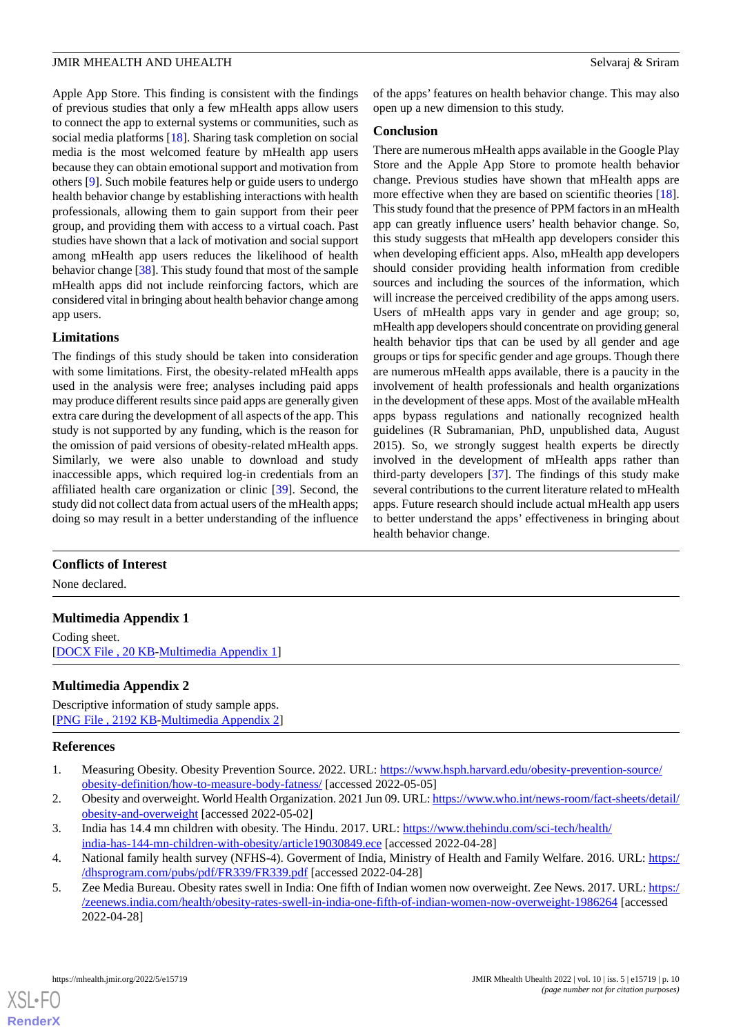Apple App Store. This finding is consistent with the findings of previous studies that only a few mHealth apps allow users to connect the app to external systems or communities, such as social media platforms [[18\]](#page-10-12). Sharing task completion on social media is the most welcomed feature by mHealth app users because they can obtain emotional support and motivation from others [\[9\]](#page-10-3). Such mobile features help or guide users to undergo health behavior change by establishing interactions with health professionals, allowing them to gain support from their peer group, and providing them with access to a virtual coach. Past studies have shown that a lack of motivation and social support among mHealth app users reduces the likelihood of health behavior change [\[38](#page-11-10)]. This study found that most of the sample mHealth apps did not include reinforcing factors, which are considered vital in bringing about health behavior change among app users.

## **Limitations**

The findings of this study should be taken into consideration with some limitations. First, the obesity-related mHealth apps used in the analysis were free; analyses including paid apps may produce different results since paid apps are generally given extra care during the development of all aspects of the app. This study is not supported by any funding, which is the reason for the omission of paid versions of obesity-related mHealth apps. Similarly, we were also unable to download and study inaccessible apps, which required log-in credentials from an affiliated health care organization or clinic [\[39](#page-11-11)]. Second, the study did not collect data from actual users of the mHealth apps; doing so may result in a better understanding of the influence

of the apps' features on health behavior change. This may also open up a new dimension to this study.

## **Conclusion**

There are numerous mHealth apps available in the Google Play Store and the Apple App Store to promote health behavior change. Previous studies have shown that mHealth apps are more effective when they are based on scientific theories [[18\]](#page-10-12). This study found that the presence of PPM factors in an mHealth app can greatly influence users' health behavior change. So, this study suggests that mHealth app developers consider this when developing efficient apps. Also, mHealth app developers should consider providing health information from credible sources and including the sources of the information, which will increase the perceived credibility of the apps among users. Users of mHealth apps vary in gender and age group; so, mHealth app developers should concentrate on providing general health behavior tips that can be used by all gender and age groups or tips for specific gender and age groups. Though there are numerous mHealth apps available, there is a paucity in the involvement of health professionals and health organizations in the development of these apps. Most of the available mHealth apps bypass regulations and nationally recognized health guidelines (R Subramanian, PhD, unpublished data, August 2015). So, we strongly suggest health experts be directly involved in the development of mHealth apps rather than third-party developers [\[37](#page-11-9)]. The findings of this study make several contributions to the current literature related to mHealth apps. Future research should include actual mHealth app users to better understand the apps' effectiveness in bringing about health behavior change.

# <span id="page-9-5"></span>**Conflicts of Interest**

None declared.

# <span id="page-9-6"></span>**Multimedia Appendix 1**

Coding sheet. [[DOCX File , 20 KB](https://jmir.org/api/download?alt_name=mhealth_v10i5e15719_app1.docx&filename=2da4d783fe697f95af968c41cdb8c062.docx)-[Multimedia Appendix 1\]](https://jmir.org/api/download?alt_name=mhealth_v10i5e15719_app1.docx&filename=2da4d783fe697f95af968c41cdb8c062.docx)

## <span id="page-9-0"></span>**Multimedia Appendix 2**

<span id="page-9-1"></span>Descriptive information of study sample apps. [[PNG File , 2192 KB-Multimedia Appendix 2](https://jmir.org/api/download?alt_name=mhealth_v10i5e15719_app2.png&filename=5f9eccfccbecdc9d3b1b7215b1391686.png)]

## <span id="page-9-2"></span>**References**

- <span id="page-9-3"></span>1. Measuring Obesity. Obesity Prevention Source. 2022. URL: [https://www.hsph.harvard.edu/obesity-prevention-source/](https://www.hsph.harvard.edu/obesity-prevention-source/obesity-definition/how-to-measure-body-fatness/) [obesity-definition/how-to-measure-body-fatness/](https://www.hsph.harvard.edu/obesity-prevention-source/obesity-definition/how-to-measure-body-fatness/) [accessed 2022-05-05]
- <span id="page-9-4"></span>2. Obesity and overweight. World Health Organization. 2021 Jun 09. URL: [https://www.who.int/news-room/fact-sheets/detail/](https://www.who.int/news-room/fact-sheets/detail/obesity-and-overweight) [obesity-and-overweight](https://www.who.int/news-room/fact-sheets/detail/obesity-and-overweight) [accessed 2022-05-02]
- 3. India has 14.4 mn children with obesity. The Hindu. 2017. URL: [https://www.thehindu.com/sci-tech/health/](https://www.thehindu.com/sci-tech/health/india-has-144-mn-children-with-obesity/article19030849.ece) [india-has-144-mn-children-with-obesity/article19030849.ece](https://www.thehindu.com/sci-tech/health/india-has-144-mn-children-with-obesity/article19030849.ece) [accessed 2022-04-28]
- 4. National family health survey (NFHS-4). Goverment of India, Ministry of Health and Family Welfare. 2016. URL: [https:/](https://dhsprogram.com/pubs/pdf/FR339/FR339.pdf) [/dhsprogram.com/pubs/pdf/FR339/FR339.pdf](https://dhsprogram.com/pubs/pdf/FR339/FR339.pdf) [accessed 2022-04-28]
- 5. Zee Media Bureau. Obesity rates swell in India: One fifth of Indian women now overweight. Zee News. 2017. URL: [https:/](https://zeenews.india.com/health/obesity-rates-swell-in-india-one-fifth-of-indian-women-now-overweight-1986264) [/zeenews.india.com/health/obesity-rates-swell-in-india-one-fifth-of-indian-women-now-overweight-1986264](https://zeenews.india.com/health/obesity-rates-swell-in-india-one-fifth-of-indian-women-now-overweight-1986264) [accessed 2022-04-28]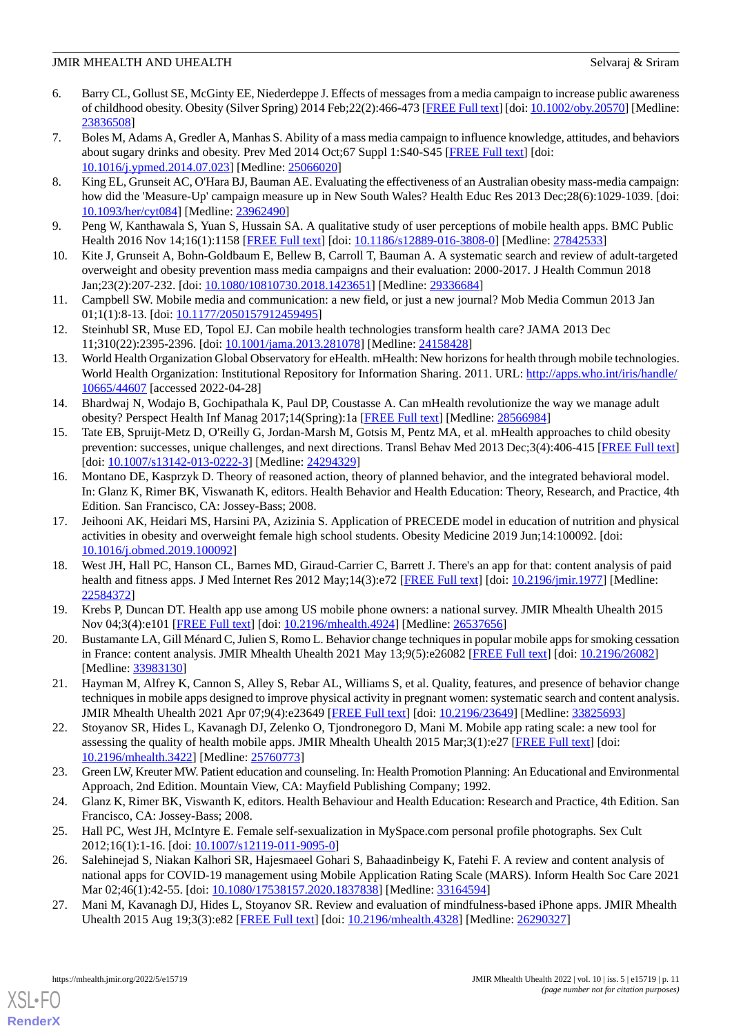- <span id="page-10-0"></span>6. Barry CL, Gollust SE, McGinty EE, Niederdeppe J. Effects of messages from a media campaign to increase public awareness of childhood obesity. Obesity (Silver Spring) 2014 Feb;22(2):466-473 [[FREE Full text\]](https://doi.org/10.1002/oby.20570) [doi: [10.1002/oby.20570](http://dx.doi.org/10.1002/oby.20570)] [Medline: [23836508](http://www.ncbi.nlm.nih.gov/entrez/query.fcgi?cmd=Retrieve&db=PubMed&list_uids=23836508&dopt=Abstract)]
- <span id="page-10-1"></span>7. Boles M, Adams A, Gredler A, Manhas S. Ability of a mass media campaign to influence knowledge, attitudes, and behaviors about sugary drinks and obesity. Prev Med 2014 Oct;67 Suppl 1:S40-S45 [[FREE Full text\]](https://linkinghub.elsevier.com/retrieve/pii/S0091-7435(14)00264-3) [doi: [10.1016/j.ypmed.2014.07.023\]](http://dx.doi.org/10.1016/j.ypmed.2014.07.023) [Medline: [25066020\]](http://www.ncbi.nlm.nih.gov/entrez/query.fcgi?cmd=Retrieve&db=PubMed&list_uids=25066020&dopt=Abstract)
- <span id="page-10-2"></span>8. King EL, Grunseit AC, O'Hara BJ, Bauman AE. Evaluating the effectiveness of an Australian obesity mass-media campaign: how did the 'Measure-Up' campaign measure up in New South Wales? Health Educ Res 2013 Dec;28(6):1029-1039. [doi: [10.1093/her/cyt084](http://dx.doi.org/10.1093/her/cyt084)] [Medline: [23962490](http://www.ncbi.nlm.nih.gov/entrez/query.fcgi?cmd=Retrieve&db=PubMed&list_uids=23962490&dopt=Abstract)]
- <span id="page-10-4"></span><span id="page-10-3"></span>9. Peng W, Kanthawala S, Yuan S, Hussain SA. A qualitative study of user perceptions of mobile health apps. BMC Public Health 2016 Nov 14;16(1):1158 [[FREE Full text](https://bmcpublichealth.biomedcentral.com/articles/10.1186/s12889-016-3808-0)] [doi: [10.1186/s12889-016-3808-0\]](http://dx.doi.org/10.1186/s12889-016-3808-0) [Medline: [27842533](http://www.ncbi.nlm.nih.gov/entrez/query.fcgi?cmd=Retrieve&db=PubMed&list_uids=27842533&dopt=Abstract)]
- <span id="page-10-5"></span>10. Kite J, Grunseit A, Bohn-Goldbaum E, Bellew B, Carroll T, Bauman A. A systematic search and review of adult-targeted overweight and obesity prevention mass media campaigns and their evaluation: 2000-2017. J Health Commun 2018 Jan;23(2):207-232. [doi: [10.1080/10810730.2018.1423651](http://dx.doi.org/10.1080/10810730.2018.1423651)] [Medline: [29336684\]](http://www.ncbi.nlm.nih.gov/entrez/query.fcgi?cmd=Retrieve&db=PubMed&list_uids=29336684&dopt=Abstract)
- <span id="page-10-6"></span>11. Campbell SW. Mobile media and communication: a new field, or just a new journal? Mob Media Commun 2013 Jan 01;1(1):8-13. [doi: [10.1177/2050157912459495\]](http://dx.doi.org/10.1177/2050157912459495)
- <span id="page-10-7"></span>12. Steinhubl SR, Muse ED, Topol EJ. Can mobile health technologies transform health care? JAMA 2013 Dec 11;310(22):2395-2396. [doi: [10.1001/jama.2013.281078](http://dx.doi.org/10.1001/jama.2013.281078)] [Medline: [24158428\]](http://www.ncbi.nlm.nih.gov/entrez/query.fcgi?cmd=Retrieve&db=PubMed&list_uids=24158428&dopt=Abstract)
- <span id="page-10-8"></span>13. World Health Organization Global Observatory for eHealth. mHealth: New horizons for health through mobile technologies. World Health Organization: Institutional Repository for Information Sharing. 2011. URL: [http://apps.who.int/iris/handle/](http://apps.who.int/iris/handle/10665/44607) [10665/44607](http://apps.who.int/iris/handle/10665/44607) [accessed 2022-04-28]
- <span id="page-10-9"></span>14. Bhardwaj N, Wodajo B, Gochipathala K, Paul DP, Coustasse A. Can mHealth revolutionize the way we manage adult obesity? Perspect Health Inf Manag 2017;14(Spring):1a [\[FREE Full text\]](http://europepmc.org/abstract/MED/28566984) [Medline: [28566984\]](http://www.ncbi.nlm.nih.gov/entrez/query.fcgi?cmd=Retrieve&db=PubMed&list_uids=28566984&dopt=Abstract)
- <span id="page-10-10"></span>15. Tate EB, Spruijt-Metz D, O'Reilly G, Jordan-Marsh M, Gotsis M, Pentz MA, et al. mHealth approaches to child obesity prevention: successes, unique challenges, and next directions. Transl Behav Med 2013 Dec;3(4):406-415 [\[FREE Full text](http://europepmc.org/abstract/MED/24294329)] [doi: [10.1007/s13142-013-0222-3](http://dx.doi.org/10.1007/s13142-013-0222-3)] [Medline: [24294329\]](http://www.ncbi.nlm.nih.gov/entrez/query.fcgi?cmd=Retrieve&db=PubMed&list_uids=24294329&dopt=Abstract)
- <span id="page-10-11"></span>16. Montano DE, Kasprzyk D. Theory of reasoned action, theory of planned behavior, and the integrated behavioral model. In: Glanz K, Rimer BK, Viswanath K, editors. Health Behavior and Health Education: Theory, Research, and Practice, 4th Edition. San Francisco, CA: Jossey-Bass; 2008.
- <span id="page-10-12"></span>17. Jeihooni AK, Heidari MS, Harsini PA, Azizinia S. Application of PRECEDE model in education of nutrition and physical activities in obesity and overweight female high school students. Obesity Medicine 2019 Jun;14:100092. [doi: [10.1016/j.obmed.2019.100092](http://dx.doi.org/10.1016/j.obmed.2019.100092)]
- <span id="page-10-14"></span><span id="page-10-13"></span>18. West JH, Hall PC, Hanson CL, Barnes MD, Giraud-Carrier C, Barrett J. There's an app for that: content analysis of paid health and fitness apps. J Med Internet Res 2012 May;14(3):e72 [[FREE Full text](http://www.jmir.org/2012/3/e72/)] [doi: [10.2196/jmir.1977](http://dx.doi.org/10.2196/jmir.1977)] [Medline: [22584372](http://www.ncbi.nlm.nih.gov/entrez/query.fcgi?cmd=Retrieve&db=PubMed&list_uids=22584372&dopt=Abstract)]
- 19. Krebs P, Duncan DT. Health app use among US mobile phone owners: a national survey. JMIR Mhealth Uhealth 2015 Nov 04;3(4):e101 [[FREE Full text](https://mhealth.jmir.org/2015/4/e101/)] [doi: [10.2196/mhealth.4924](http://dx.doi.org/10.2196/mhealth.4924)] [Medline: [26537656\]](http://www.ncbi.nlm.nih.gov/entrez/query.fcgi?cmd=Retrieve&db=PubMed&list_uids=26537656&dopt=Abstract)
- <span id="page-10-15"></span>20. Bustamante LA, Gill Ménard C, Julien S, Romo L. Behavior change techniques in popular mobile apps for smoking cessation in France: content analysis. JMIR Mhealth Uhealth 2021 May 13;9(5):e26082 [\[FREE Full text\]](https://mhealth.jmir.org/2021/5/e26082/) [doi: [10.2196/26082](http://dx.doi.org/10.2196/26082)] [Medline: [33983130](http://www.ncbi.nlm.nih.gov/entrez/query.fcgi?cmd=Retrieve&db=PubMed&list_uids=33983130&dopt=Abstract)]
- <span id="page-10-16"></span>21. Hayman M, Alfrey K, Cannon S, Alley S, Rebar AL, Williams S, et al. Quality, features, and presence of behavior change techniques in mobile apps designed to improve physical activity in pregnant women: systematic search and content analysis. JMIR Mhealth Uhealth 2021 Apr 07;9(4):e23649 [[FREE Full text](https://mhealth.jmir.org/2021/4/e23649/)] [doi: [10.2196/23649\]](http://dx.doi.org/10.2196/23649) [Medline: [33825693\]](http://www.ncbi.nlm.nih.gov/entrez/query.fcgi?cmd=Retrieve&db=PubMed&list_uids=33825693&dopt=Abstract)
- <span id="page-10-18"></span><span id="page-10-17"></span>22. Stoyanov SR, Hides L, Kavanagh DJ, Zelenko O, Tjondronegoro D, Mani M. Mobile app rating scale: a new tool for assessing the quality of health mobile apps. JMIR Mhealth Uhealth 2015 Mar;3(1):e27 [[FREE Full text\]](http://mhealth.jmir.org/2015/1/e27/) [doi: [10.2196/mhealth.3422](http://dx.doi.org/10.2196/mhealth.3422)] [Medline: [25760773](http://www.ncbi.nlm.nih.gov/entrez/query.fcgi?cmd=Retrieve&db=PubMed&list_uids=25760773&dopt=Abstract)]
- <span id="page-10-19"></span>23. Green LW, Kreuter MW. Patient education and counseling. In: Health Promotion Planning: An Educational and Environmental Approach, 2nd Edition. Mountain View, CA: Mayfield Publishing Company; 1992.
- <span id="page-10-20"></span>24. Glanz K, Rimer BK, Viswanth K, editors. Health Behaviour and Health Education: Research and Practice, 4th Edition. San Francisco, CA: Jossey-Bass; 2008.
- 25. Hall PC, West JH, McIntyre E. Female self-sexualization in MySpace.com personal profile photographs. Sex Cult 2012;16(1):1-16. [doi: [10.1007/s12119-011-9095-0\]](http://dx.doi.org/10.1007/s12119-011-9095-0)
- 26. Salehinejad S, Niakan Kalhori SR, Hajesmaeel Gohari S, Bahaadinbeigy K, Fatehi F. A review and content analysis of national apps for COVID-19 management using Mobile Application Rating Scale (MARS). Inform Health Soc Care 2021 Mar 02;46(1):42-55. [doi: [10.1080/17538157.2020.1837838\]](http://dx.doi.org/10.1080/17538157.2020.1837838) [Medline: [33164594\]](http://www.ncbi.nlm.nih.gov/entrez/query.fcgi?cmd=Retrieve&db=PubMed&list_uids=33164594&dopt=Abstract)
- 27. Mani M, Kavanagh DJ, Hides L, Stoyanov SR. Review and evaluation of mindfulness-based iPhone apps. JMIR Mhealth Uhealth 2015 Aug 19;3(3):e82 [\[FREE Full text\]](https://mhealth.jmir.org/2015/3/e82/) [doi: [10.2196/mhealth.4328](http://dx.doi.org/10.2196/mhealth.4328)] [Medline: [26290327\]](http://www.ncbi.nlm.nih.gov/entrez/query.fcgi?cmd=Retrieve&db=PubMed&list_uids=26290327&dopt=Abstract)